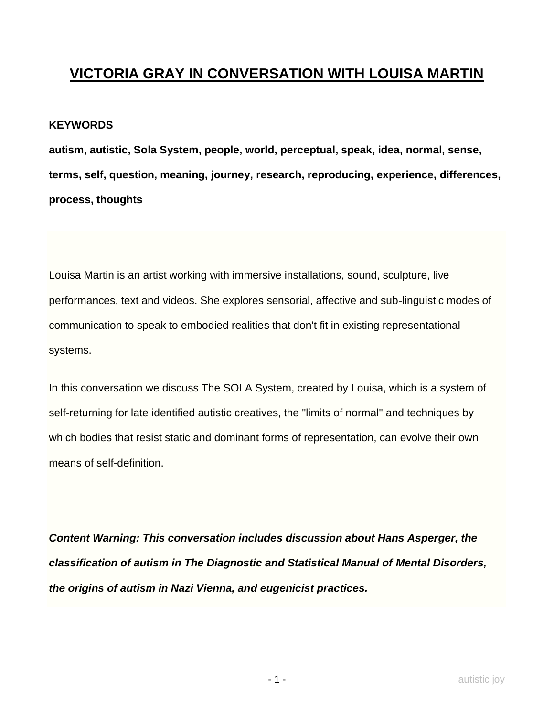## **VICTORIA GRAY IN CONVERSATION WITH LOUISA MARTIN**

## **KEYWORDS**

**autism, autistic, Sola System, people, world, perceptual, speak, idea, normal, sense, terms, self, question, meaning, journey, research, reproducing, experience, differences, process, thoughts**

Louisa Martin is an artist working with immersive installations, sound, sculpture, live performances, text and videos. She explores sensorial, affective and sub-linguistic modes of communication to speak to embodied realities that don't fit in existing representational systems.

In this conversation we discuss The SOLA System, created by Louisa, which is a system of self-returning for late identified autistic creatives, the "limits of normal" and techniques by which bodies that resist static and dominant forms of representation, can evolve their own means of self-definition.

*Content Warning: This conversation includes discussion about Hans Asperger, the classification of autism in The Diagnostic and Statistical Manual of Mental Disorders, the origins of autism in Nazi Vienna, and eugenicist practices.*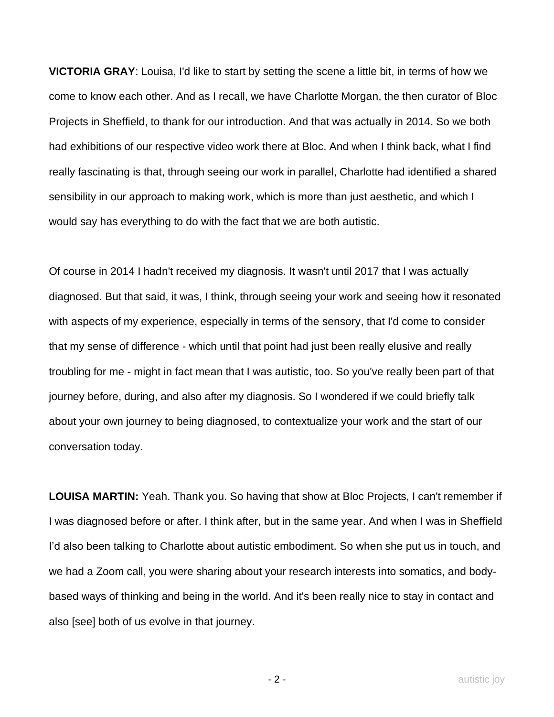**VICTORIA GRAY**: Louisa, I'd like to start by setting the scene a little bit, in terms of how we come to know each other. And as I recall, we have Charlotte Morgan, the then curator of Bloc Projects in Sheffield, to thank for our introduction. And that was actually in 2014. So we both had exhibitions of our respective video work there at Bloc. And when I think back, what I find really fascinating is that, through seeing our work in parallel, Charlotte had identified a shared sensibility in our approach to making work, which is more than just aesthetic, and which I would say has everything to do with the fact that we are both autistic.

Of course in 2014 I hadn't received my diagnosis. It wasn't until 2017 that I was actually diagnosed. But that said, it was, I think, through seeing your work and seeing how it resonated with aspects of my experience, especially in terms of the sensory, that I'd come to consider that my sense of difference - which until that point had just been really elusive and really troubling for me - might in fact mean that I was autistic, too. So you've really been part of that journey before, during, and also after my diagnosis. So I wondered if we could briefly talk about your own journey to being diagnosed, to contextualize your work and the start of our conversation today.

**LOUISA MARTIN:** Yeah. Thank you. So having that show at Bloc Projects, I can't remember if I was diagnosed before or after. I think after, but in the same year. And when I was in Sheffield I'd also been talking to Charlotte about autistic embodiment. So when she put us in touch, and we had a Zoom call, you were sharing about your research interests into somatics, and bodybased ways of thinking and being in the world. And it's been really nice to stay in contact and also [see] both of us evolve in that journey.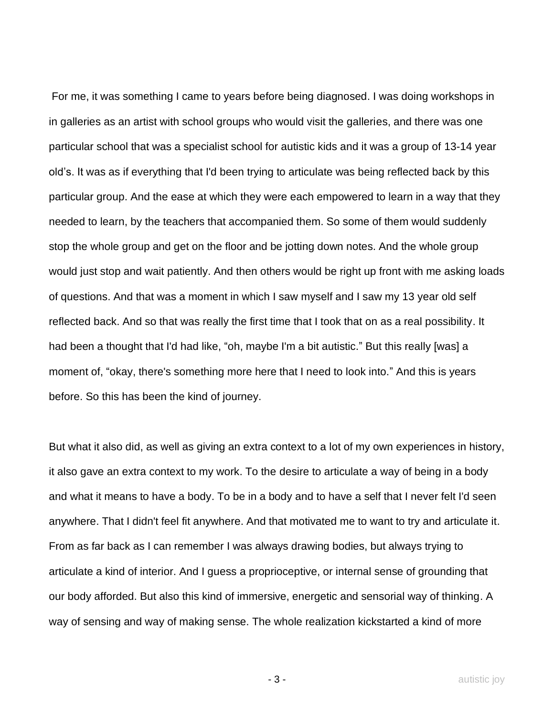For me, it was something I came to years before being diagnosed. I was doing workshops in in galleries as an artist with school groups who would visit the galleries, and there was one particular school that was a specialist school for autistic kids and it was a group of 13-14 year old's. It was as if everything that I'd been trying to articulate was being reflected back by this particular group. And the ease at which they were each empowered to learn in a way that they needed to learn, by the teachers that accompanied them. So some of them would suddenly stop the whole group and get on the floor and be jotting down notes. And the whole group would just stop and wait patiently. And then others would be right up front with me asking loads of questions. And that was a moment in which I saw myself and I saw my 13 year old self reflected back. And so that was really the first time that I took that on as a real possibility. It had been a thought that I'd had like, "oh, maybe I'm a bit autistic." But this really [was] a moment of, "okay, there's something more here that I need to look into." And this is years before. So this has been the kind of journey.

But what it also did, as well as giving an extra context to a lot of my own experiences in history, it also gave an extra context to my work. To the desire to articulate a way of being in a body and what it means to have a body. To be in a body and to have a self that I never felt I'd seen anywhere. That I didn't feel fit anywhere. And that motivated me to want to try and articulate it. From as far back as I can remember I was always drawing bodies, but always trying to articulate a kind of interior. And I guess a proprioceptive, or internal sense of grounding that our body afforded. But also this kind of immersive, energetic and sensorial way of thinking. A way of sensing and way of making sense. The whole realization kickstarted a kind of more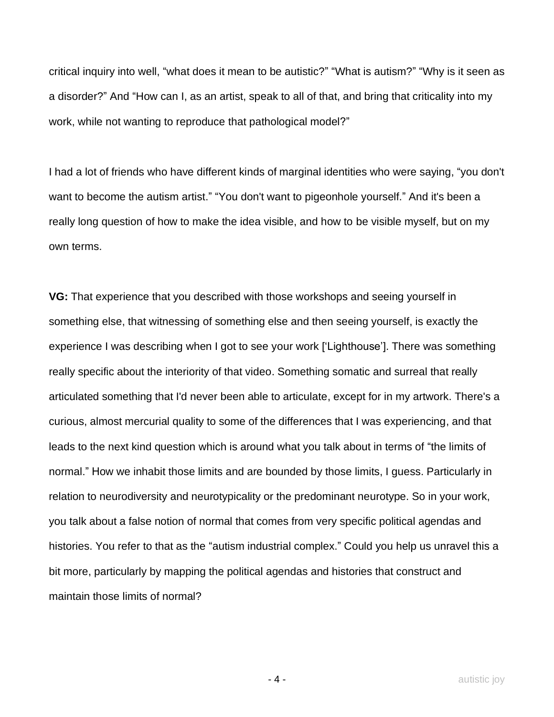critical inquiry into well, "what does it mean to be autistic?" "What is autism?" "Why is it seen as a disorder?" And "How can I, as an artist, speak to all of that, and bring that criticality into my work, while not wanting to reproduce that pathological model?"

I had a lot of friends who have different kinds of marginal identities who were saying, "you don't want to become the autism artist." "You don't want to pigeonhole yourself." And it's been a really long question of how to make the idea visible, and how to be visible myself, but on my own terms.

**VG:** That experience that you described with those workshops and seeing yourself in something else, that witnessing of something else and then seeing yourself, is exactly the experience I was describing when I got to see your work ['Lighthouse']. There was something really specific about the interiority of that video. Something somatic and surreal that really articulated something that I'd never been able to articulate, except for in my artwork. There's a curious, almost mercurial quality to some of the differences that I was experiencing, and that leads to the next kind question which is around what you talk about in terms of "the limits of normal." How we inhabit those limits and are bounded by those limits, I guess. Particularly in relation to neurodiversity and neurotypicality or the predominant neurotype. So in your work, you talk about a false notion of normal that comes from very specific political agendas and histories. You refer to that as the "autism industrial complex." Could you help us unravel this a bit more, particularly by mapping the political agendas and histories that construct and maintain those limits of normal?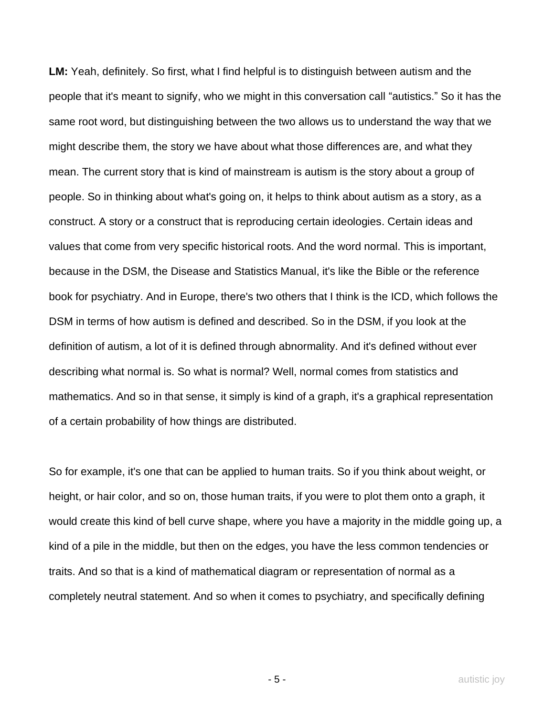**LM:** Yeah, definitely. So first, what I find helpful is to distinguish between autism and the people that it's meant to signify, who we might in this conversation call "autistics." So it has the same root word, but distinguishing between the two allows us to understand the way that we might describe them, the story we have about what those differences are, and what they mean. The current story that is kind of mainstream is autism is the story about a group of people. So in thinking about what's going on, it helps to think about autism as a story, as a construct. A story or a construct that is reproducing certain ideologies. Certain ideas and values that come from very specific historical roots. And the word normal. This is important, because in the DSM, the Disease and Statistics Manual, it's like the Bible or the reference book for psychiatry. And in Europe, there's two others that I think is the ICD, which follows the DSM in terms of how autism is defined and described. So in the DSM, if you look at the definition of autism, a lot of it is defined through abnormality. And it's defined without ever describing what normal is. So what is normal? Well, normal comes from statistics and mathematics. And so in that sense, it simply is kind of a graph, it's a graphical representation of a certain probability of how things are distributed.

So for example, it's one that can be applied to human traits. So if you think about weight, or height, or hair color, and so on, those human traits, if you were to plot them onto a graph, it would create this kind of bell curve shape, where you have a majority in the middle going up, a kind of a pile in the middle, but then on the edges, you have the less common tendencies or traits. And so that is a kind of mathematical diagram or representation of normal as a completely neutral statement. And so when it comes to psychiatry, and specifically defining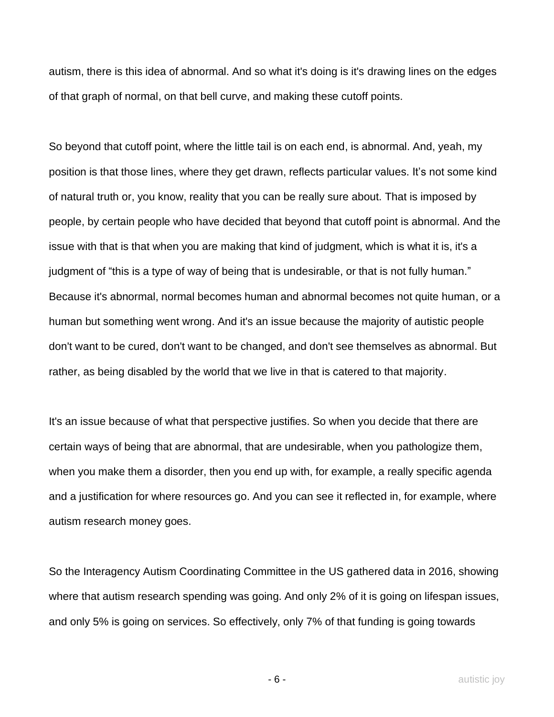autism, there is this idea of abnormal. And so what it's doing is it's drawing lines on the edges of that graph of normal, on that bell curve, and making these cutoff points.

So beyond that cutoff point, where the little tail is on each end, is abnormal. And, yeah, my position is that those lines, where they get drawn, reflects particular values. It's not some kind of natural truth or, you know, reality that you can be really sure about. That is imposed by people, by certain people who have decided that beyond that cutoff point is abnormal. And the issue with that is that when you are making that kind of judgment, which is what it is, it's a judgment of "this is a type of way of being that is undesirable, or that is not fully human." Because it's abnormal, normal becomes human and abnormal becomes not quite human, or a human but something went wrong. And it's an issue because the majority of autistic people don't want to be cured, don't want to be changed, and don't see themselves as abnormal. But rather, as being disabled by the world that we live in that is catered to that majority.

It's an issue because of what that perspective justifies. So when you decide that there are certain ways of being that are abnormal, that are undesirable, when you pathologize them, when you make them a disorder, then you end up with, for example, a really specific agenda and a justification for where resources go. And you can see it reflected in, for example, where autism research money goes.

So the Interagency Autism Coordinating Committee in the US gathered data in 2016, showing where that autism research spending was going. And only 2% of it is going on lifespan issues, and only 5% is going on services. So effectively, only 7% of that funding is going towards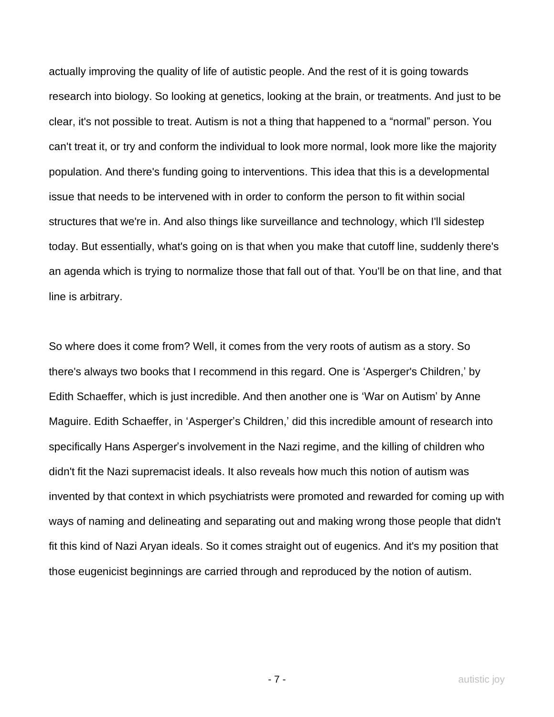actually improving the quality of life of autistic people. And the rest of it is going towards research into biology. So looking at genetics, looking at the brain, or treatments. And just to be clear, it's not possible to treat. Autism is not a thing that happened to a "normal" person. You can't treat it, or try and conform the individual to look more normal, look more like the majority population. And there's funding going to interventions. This idea that this is a developmental issue that needs to be intervened with in order to conform the person to fit within social structures that we're in. And also things like surveillance and technology, which I'll sidestep today. But essentially, what's going on is that when you make that cutoff line, suddenly there's an agenda which is trying to normalize those that fall out of that. You'll be on that line, and that line is arbitrary.

So where does it come from? Well, it comes from the very roots of autism as a story. So there's always two books that I recommend in this regard. One is 'Asperger's Children,' by Edith Schaeffer, which is just incredible. And then another one is 'War on Autism' by Anne Maguire. Edith Schaeffer, in 'Asperger's Children,' did this incredible amount of research into specifically Hans Asperger's involvement in the Nazi regime, and the killing of children who didn't fit the Nazi supremacist ideals. It also reveals how much this notion of autism was invented by that context in which psychiatrists were promoted and rewarded for coming up with ways of naming and delineating and separating out and making wrong those people that didn't fit this kind of Nazi Aryan ideals. So it comes straight out of eugenics. And it's my position that those eugenicist beginnings are carried through and reproduced by the notion of autism.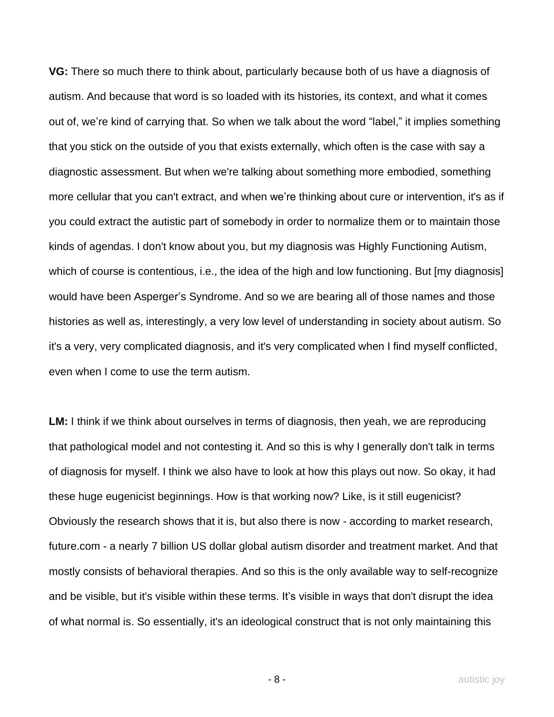**VG:** There so much there to think about, particularly because both of us have a diagnosis of autism. And because that word is so loaded with its histories, its context, and what it comes out of, we're kind of carrying that. So when we talk about the word "label," it implies something that you stick on the outside of you that exists externally, which often is the case with say a diagnostic assessment. But when we're talking about something more embodied, something more cellular that you can't extract, and when we're thinking about cure or intervention, it's as if you could extract the autistic part of somebody in order to normalize them or to maintain those kinds of agendas. I don't know about you, but my diagnosis was Highly Functioning Autism, which of course is contentious, i.e., the idea of the high and low functioning. But [my diagnosis] would have been Asperger's Syndrome. And so we are bearing all of those names and those histories as well as, interestingly, a very low level of understanding in society about autism. So it's a very, very complicated diagnosis, and it's very complicated when I find myself conflicted, even when I come to use the term autism.

**LM:** I think if we think about ourselves in terms of diagnosis, then yeah, we are reproducing that pathological model and not contesting it. And so this is why I generally don't talk in terms of diagnosis for myself. I think we also have to look at how this plays out now. So okay, it had these huge eugenicist beginnings. How is that working now? Like, is it still eugenicist? Obviously the research shows that it is, but also there is now - according to market research, future.com - a nearly 7 billion US dollar global autism disorder and treatment market. And that mostly consists of behavioral therapies. And so this is the only available way to self-recognize and be visible, but it's visible within these terms. It's visible in ways that don't disrupt the idea of what normal is. So essentially, it's an ideological construct that is not only maintaining this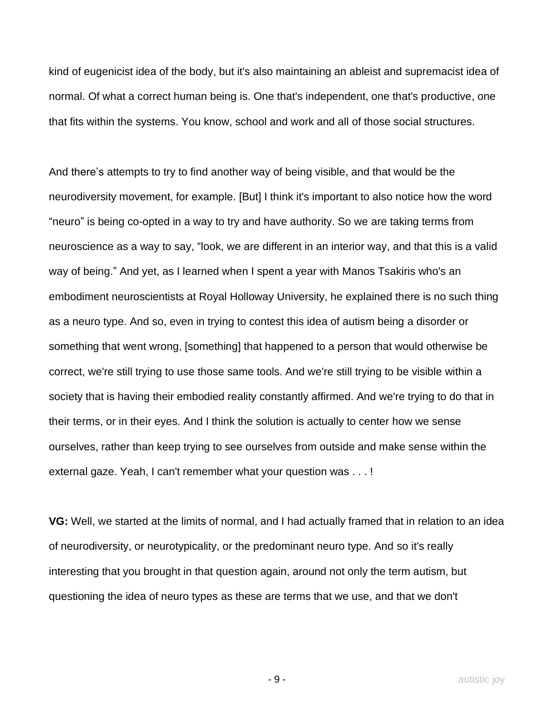kind of eugenicist idea of the body, but it's also maintaining an ableist and supremacist idea of normal. Of what a correct human being is. One that's independent, one that's productive, one that fits within the systems. You know, school and work and all of those social structures.

And there's attempts to try to find another way of being visible, and that would be the neurodiversity movement, for example. [But] I think it's important to also notice how the word "neuro" is being co-opted in a way to try and have authority. So we are taking terms from neuroscience as a way to say, "look, we are different in an interior way, and that this is a valid way of being." And yet, as I learned when I spent a year with Manos Tsakiris who's an embodiment neuroscientists at Royal Holloway University, he explained there is no such thing as a neuro type. And so, even in trying to contest this idea of autism being a disorder or something that went wrong, [something] that happened to a person that would otherwise be correct, we're still trying to use those same tools. And we're still trying to be visible within a society that is having their embodied reality constantly affirmed. And we're trying to do that in their terms, or in their eyes. And I think the solution is actually to center how we sense ourselves, rather than keep trying to see ourselves from outside and make sense within the external gaze. Yeah, I can't remember what your question was . . . !

**VG:** Well, we started at the limits of normal, and I had actually framed that in relation to an idea of neurodiversity, or neurotypicality, or the predominant neuro type. And so it's really interesting that you brought in that question again, around not only the term autism, but questioning the idea of neuro types as these are terms that we use, and that we don't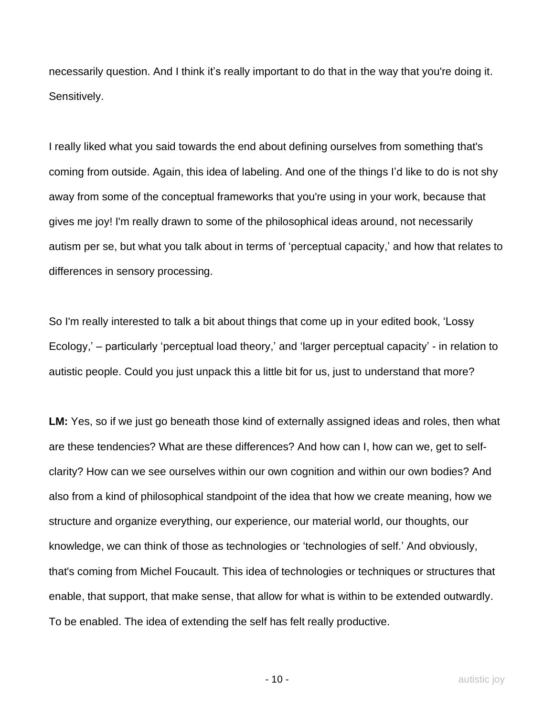necessarily question. And I think it's really important to do that in the way that you're doing it. Sensitively.

I really liked what you said towards the end about defining ourselves from something that's coming from outside. Again, this idea of labeling. And one of the things I'd like to do is not shy away from some of the conceptual frameworks that you're using in your work, because that gives me joy! I'm really drawn to some of the philosophical ideas around, not necessarily autism per se, but what you talk about in terms of 'perceptual capacity,' and how that relates to differences in sensory processing.

So I'm really interested to talk a bit about things that come up in your edited book, 'Lossy Ecology,' – particularly 'perceptual load theory,' and 'larger perceptual capacity' - in relation to autistic people. Could you just unpack this a little bit for us, just to understand that more?

**LM:** Yes, so if we just go beneath those kind of externally assigned ideas and roles, then what are these tendencies? What are these differences? And how can I, how can we, get to selfclarity? How can we see ourselves within our own cognition and within our own bodies? And also from a kind of philosophical standpoint of the idea that how we create meaning, how we structure and organize everything, our experience, our material world, our thoughts, our knowledge, we can think of those as technologies or 'technologies of self.' And obviously, that's coming from Michel Foucault. This idea of technologies or techniques or structures that enable, that support, that make sense, that allow for what is within to be extended outwardly. To be enabled. The idea of extending the self has felt really productive.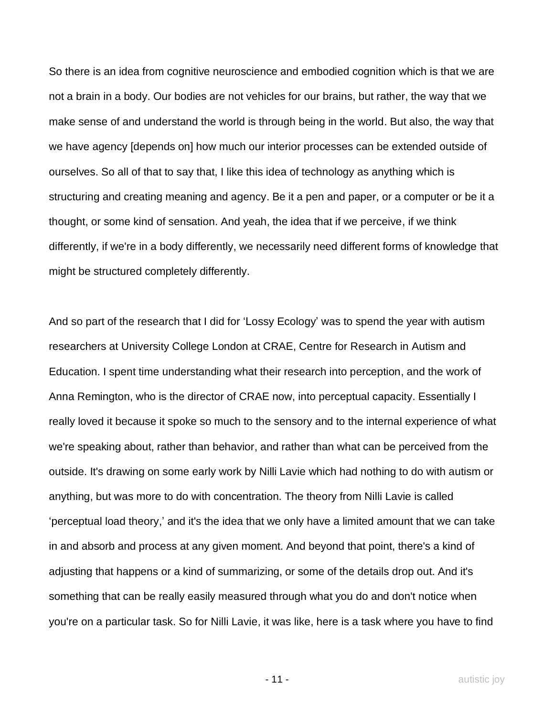So there is an idea from cognitive neuroscience and embodied cognition which is that we are not a brain in a body. Our bodies are not vehicles for our brains, but rather, the way that we make sense of and understand the world is through being in the world. But also, the way that we have agency [depends on] how much our interior processes can be extended outside of ourselves. So all of that to say that, I like this idea of technology as anything which is structuring and creating meaning and agency. Be it a pen and paper, or a computer or be it a thought, or some kind of sensation. And yeah, the idea that if we perceive, if we think differently, if we're in a body differently, we necessarily need different forms of knowledge that might be structured completely differently.

And so part of the research that I did for 'Lossy Ecology' was to spend the year with autism researchers at University College London at CRAE, Centre for Research in Autism and Education. I spent time understanding what their research into perception, and the work of Anna Remington, who is the director of CRAE now, into perceptual capacity. Essentially I really loved it because it spoke so much to the sensory and to the internal experience of what we're speaking about, rather than behavior, and rather than what can be perceived from the outside. It's drawing on some early work by Nilli Lavie which had nothing to do with autism or anything, but was more to do with concentration. The theory from Nilli Lavie is called 'perceptual load theory,' and it's the idea that we only have a limited amount that we can take in and absorb and process at any given moment. And beyond that point, there's a kind of adjusting that happens or a kind of summarizing, or some of the details drop out. And it's something that can be really easily measured through what you do and don't notice when you're on a particular task. So for Nilli Lavie, it was like, here is a task where you have to find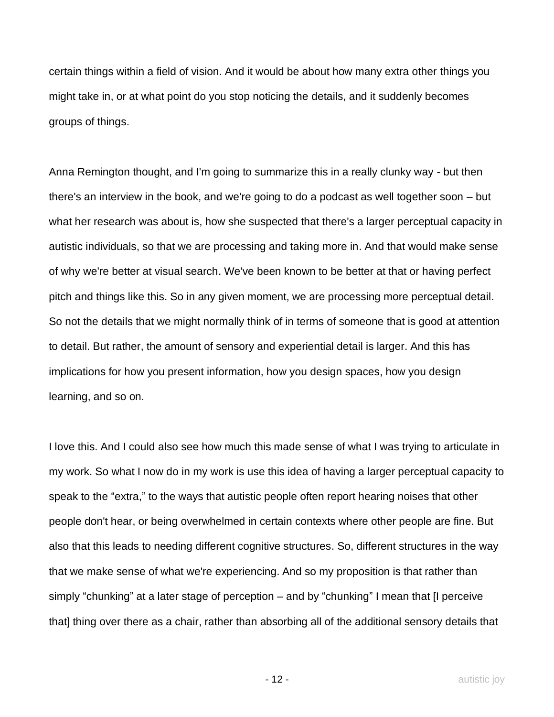certain things within a field of vision. And it would be about how many extra other things you might take in, or at what point do you stop noticing the details, and it suddenly becomes groups of things.

Anna Remington thought, and I'm going to summarize this in a really clunky way - but then there's an interview in the book, and we're going to do a podcast as well together soon – but what her research was about is, how she suspected that there's a larger perceptual capacity in autistic individuals, so that we are processing and taking more in. And that would make sense of why we're better at visual search. We've been known to be better at that or having perfect pitch and things like this. So in any given moment, we are processing more perceptual detail. So not the details that we might normally think of in terms of someone that is good at attention to detail. But rather, the amount of sensory and experiential detail is larger. And this has implications for how you present information, how you design spaces, how you design learning, and so on.

I love this. And I could also see how much this made sense of what I was trying to articulate in my work. So what I now do in my work is use this idea of having a larger perceptual capacity to speak to the "extra," to the ways that autistic people often report hearing noises that other people don't hear, or being overwhelmed in certain contexts where other people are fine. But also that this leads to needing different cognitive structures. So, different structures in the way that we make sense of what we're experiencing. And so my proposition is that rather than simply "chunking" at a later stage of perception – and by "chunking" I mean that [I perceive that] thing over there as a chair, rather than absorbing all of the additional sensory details that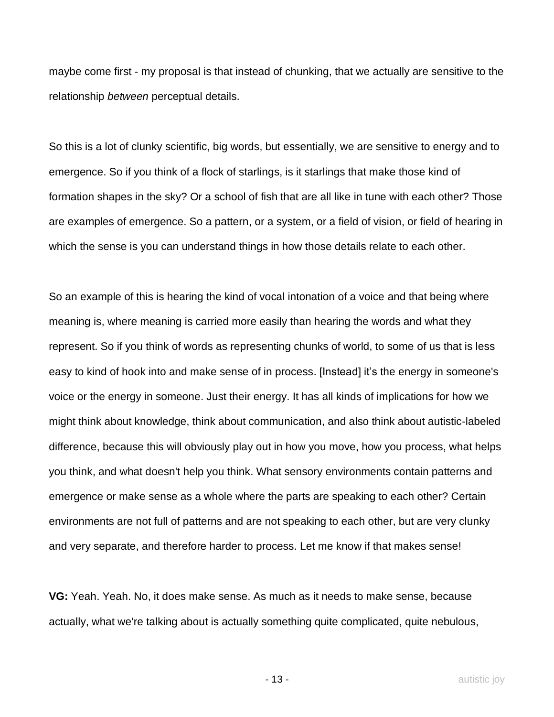maybe come first - my proposal is that instead of chunking, that we actually are sensitive to the relationship *between* perceptual details.

So this is a lot of clunky scientific, big words, but essentially, we are sensitive to energy and to emergence. So if you think of a flock of starlings, is it starlings that make those kind of formation shapes in the sky? Or a school of fish that are all like in tune with each other? Those are examples of emergence. So a pattern, or a system, or a field of vision, or field of hearing in which the sense is you can understand things in how those details relate to each other.

So an example of this is hearing the kind of vocal intonation of a voice and that being where meaning is, where meaning is carried more easily than hearing the words and what they represent. So if you think of words as representing chunks of world, to some of us that is less easy to kind of hook into and make sense of in process. [Instead] it's the energy in someone's voice or the energy in someone. Just their energy. It has all kinds of implications for how we might think about knowledge, think about communication, and also think about autistic-labeled difference, because this will obviously play out in how you move, how you process, what helps you think, and what doesn't help you think. What sensory environments contain patterns and emergence or make sense as a whole where the parts are speaking to each other? Certain environments are not full of patterns and are not speaking to each other, but are very clunky and very separate, and therefore harder to process. Let me know if that makes sense!

**VG:** Yeah. Yeah. No, it does make sense. As much as it needs to make sense, because actually, what we're talking about is actually something quite complicated, quite nebulous,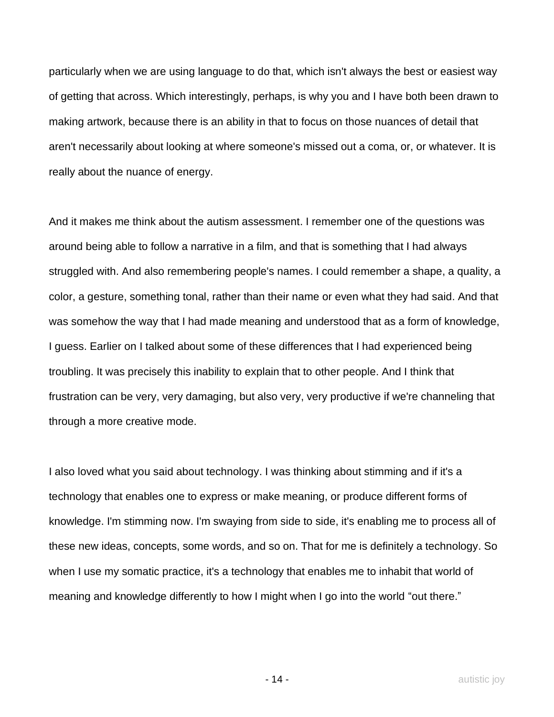particularly when we are using language to do that, which isn't always the best or easiest way of getting that across. Which interestingly, perhaps, is why you and I have both been drawn to making artwork, because there is an ability in that to focus on those nuances of detail that aren't necessarily about looking at where someone's missed out a coma, or, or whatever. It is really about the nuance of energy.

And it makes me think about the autism assessment. I remember one of the questions was around being able to follow a narrative in a film, and that is something that I had always struggled with. And also remembering people's names. I could remember a shape, a quality, a color, a gesture, something tonal, rather than their name or even what they had said. And that was somehow the way that I had made meaning and understood that as a form of knowledge, I guess. Earlier on I talked about some of these differences that I had experienced being troubling. It was precisely this inability to explain that to other people. And I think that frustration can be very, very damaging, but also very, very productive if we're channeling that through a more creative mode.

I also loved what you said about technology. I was thinking about stimming and if it's a technology that enables one to express or make meaning, or produce different forms of knowledge. I'm stimming now. I'm swaying from side to side, it's enabling me to process all of these new ideas, concepts, some words, and so on. That for me is definitely a technology. So when I use my somatic practice, it's a technology that enables me to inhabit that world of meaning and knowledge differently to how I might when I go into the world "out there."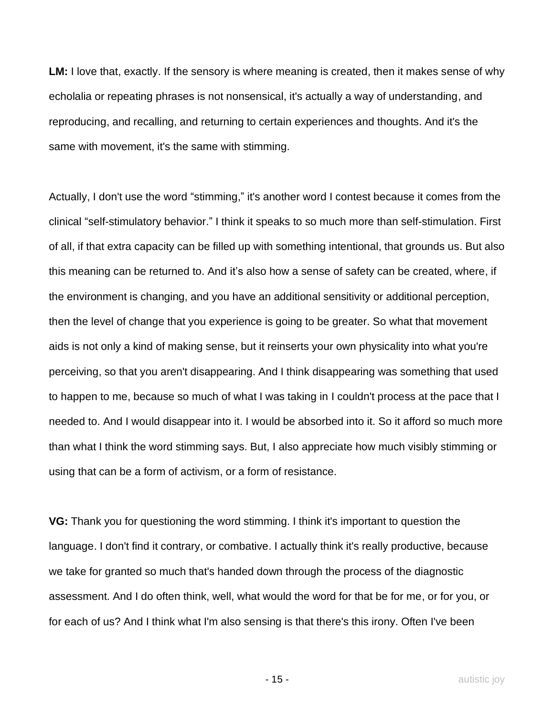**LM:** I love that, exactly. If the sensory is where meaning is created, then it makes sense of why echolalia or repeating phrases is not nonsensical, it's actually a way of understanding, and reproducing, and recalling, and returning to certain experiences and thoughts. And it's the same with movement, it's the same with stimming.

Actually, I don't use the word "stimming," it's another word I contest because it comes from the clinical "self-stimulatory behavior." I think it speaks to so much more than self-stimulation. First of all, if that extra capacity can be filled up with something intentional, that grounds us. But also this meaning can be returned to. And it's also how a sense of safety can be created, where, if the environment is changing, and you have an additional sensitivity or additional perception, then the level of change that you experience is going to be greater. So what that movement aids is not only a kind of making sense, but it reinserts your own physicality into what you're perceiving, so that you aren't disappearing. And I think disappearing was something that used to happen to me, because so much of what I was taking in I couldn't process at the pace that I needed to. And I would disappear into it. I would be absorbed into it. So it afford so much more than what I think the word stimming says. But, I also appreciate how much visibly stimming or using that can be a form of activism, or a form of resistance.

**VG:** Thank you for questioning the word stimming. I think it's important to question the language. I don't find it contrary, or combative. I actually think it's really productive, because we take for granted so much that's handed down through the process of the diagnostic assessment. And I do often think, well, what would the word for that be for me, or for you, or for each of us? And I think what I'm also sensing is that there's this irony. Often I've been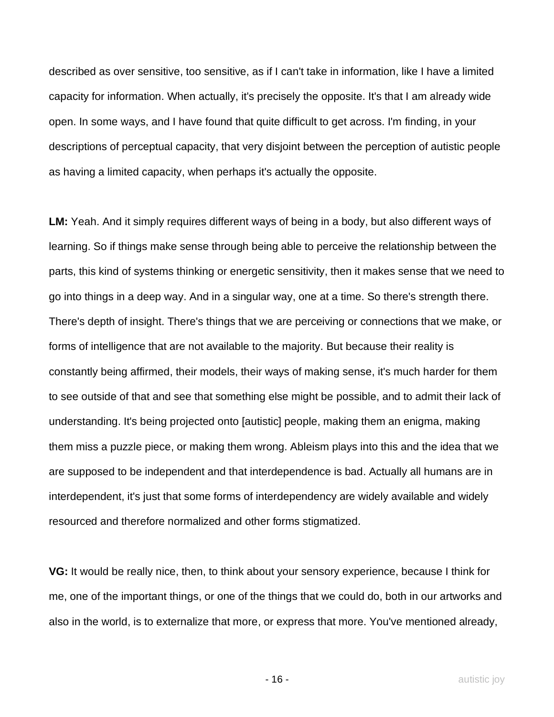described as over sensitive, too sensitive, as if I can't take in information, like I have a limited capacity for information. When actually, it's precisely the opposite. It's that I am already wide open. In some ways, and I have found that quite difficult to get across. I'm finding, in your descriptions of perceptual capacity, that very disjoint between the perception of autistic people as having a limited capacity, when perhaps it's actually the opposite.

**LM:** Yeah. And it simply requires different ways of being in a body, but also different ways of learning. So if things make sense through being able to perceive the relationship between the parts, this kind of systems thinking or energetic sensitivity, then it makes sense that we need to go into things in a deep way. And in a singular way, one at a time. So there's strength there. There's depth of insight. There's things that we are perceiving or connections that we make, or forms of intelligence that are not available to the majority. But because their reality is constantly being affirmed, their models, their ways of making sense, it's much harder for them to see outside of that and see that something else might be possible, and to admit their lack of understanding. It's being projected onto [autistic] people, making them an enigma, making them miss a puzzle piece, or making them wrong. Ableism plays into this and the idea that we are supposed to be independent and that interdependence is bad. Actually all humans are in interdependent, it's just that some forms of interdependency are widely available and widely resourced and therefore normalized and other forms stigmatized.

**VG:** It would be really nice, then, to think about your sensory experience, because I think for me, one of the important things, or one of the things that we could do, both in our artworks and also in the world, is to externalize that more, or express that more. You've mentioned already,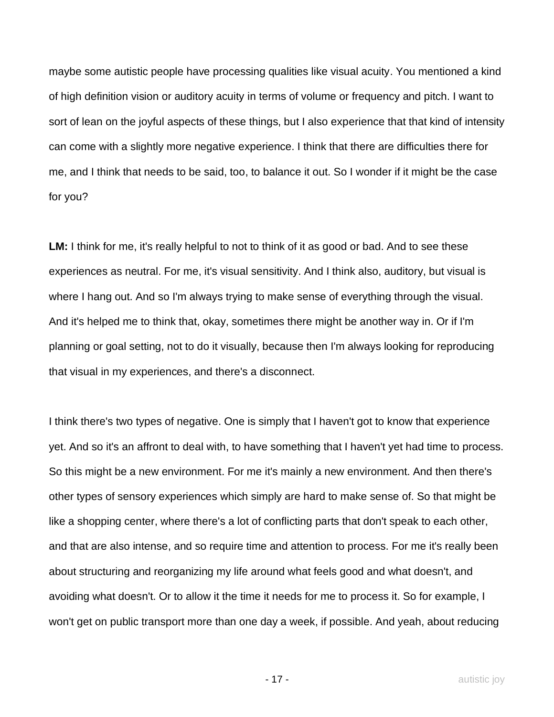maybe some autistic people have processing qualities like visual acuity. You mentioned a kind of high definition vision or auditory acuity in terms of volume or frequency and pitch. I want to sort of lean on the joyful aspects of these things, but I also experience that that kind of intensity can come with a slightly more negative experience. I think that there are difficulties there for me, and I think that needs to be said, too, to balance it out. So I wonder if it might be the case for you?

**LM:** I think for me, it's really helpful to not to think of it as good or bad. And to see these experiences as neutral. For me, it's visual sensitivity. And I think also, auditory, but visual is where I hang out. And so I'm always trying to make sense of everything through the visual. And it's helped me to think that, okay, sometimes there might be another way in. Or if I'm planning or goal setting, not to do it visually, because then I'm always looking for reproducing that visual in my experiences, and there's a disconnect.

I think there's two types of negative. One is simply that I haven't got to know that experience yet. And so it's an affront to deal with, to have something that I haven't yet had time to process. So this might be a new environment. For me it's mainly a new environment. And then there's other types of sensory experiences which simply are hard to make sense of. So that might be like a shopping center, where there's a lot of conflicting parts that don't speak to each other, and that are also intense, and so require time and attention to process. For me it's really been about structuring and reorganizing my life around what feels good and what doesn't, and avoiding what doesn't. Or to allow it the time it needs for me to process it. So for example, I won't get on public transport more than one day a week, if possible. And yeah, about reducing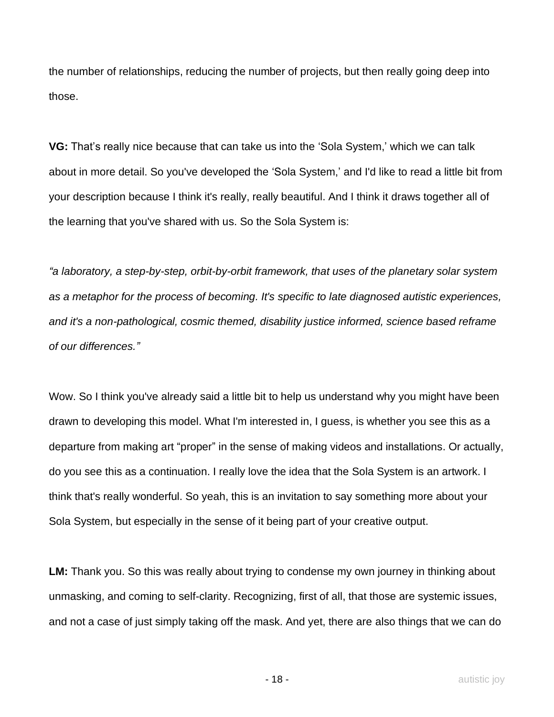the number of relationships, reducing the number of projects, but then really going deep into those.

**VG:** That's really nice because that can take us into the 'Sola System,' which we can talk about in more detail. So you've developed the 'Sola System,' and I'd like to read a little bit from your description because I think it's really, really beautiful. And I think it draws together all of the learning that you've shared with us. So the Sola System is:

*"a laboratory, a step-by-step, orbit-by-orbit framework, that uses of the planetary solar system as a metaphor for the process of becoming. It's specific to late diagnosed autistic experiences, and it's a non-pathological, cosmic themed, disability justice informed, science based reframe of our differences."*

Wow. So I think you've already said a little bit to help us understand why you might have been drawn to developing this model. What I'm interested in, I guess, is whether you see this as a departure from making art "proper" in the sense of making videos and installations. Or actually, do you see this as a continuation. I really love the idea that the Sola System is an artwork. I think that's really wonderful. So yeah, this is an invitation to say something more about your Sola System, but especially in the sense of it being part of your creative output.

**LM:** Thank you. So this was really about trying to condense my own journey in thinking about unmasking, and coming to self-clarity. Recognizing, first of all, that those are systemic issues, and not a case of just simply taking off the mask. And yet, there are also things that we can do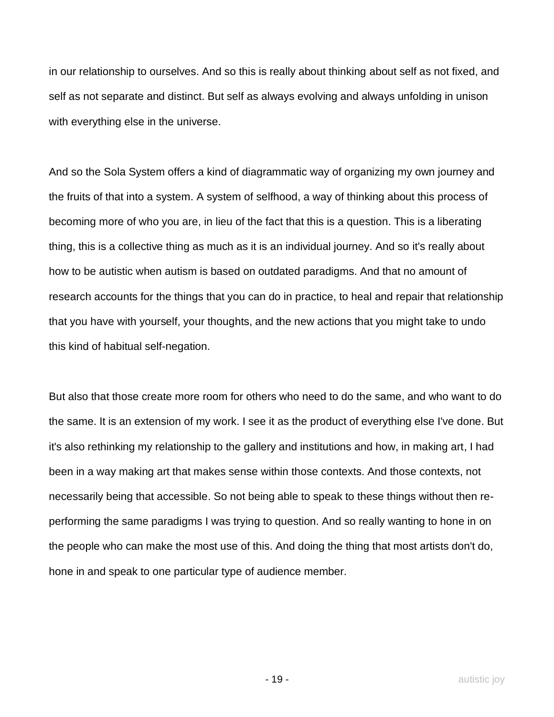in our relationship to ourselves. And so this is really about thinking about self as not fixed, and self as not separate and distinct. But self as always evolving and always unfolding in unison with everything else in the universe.

And so the Sola System offers a kind of diagrammatic way of organizing my own journey and the fruits of that into a system. A system of selfhood, a way of thinking about this process of becoming more of who you are, in lieu of the fact that this is a question. This is a liberating thing, this is a collective thing as much as it is an individual journey. And so it's really about how to be autistic when autism is based on outdated paradigms. And that no amount of research accounts for the things that you can do in practice, to heal and repair that relationship that you have with yourself, your thoughts, and the new actions that you might take to undo this kind of habitual self-negation.

But also that those create more room for others who need to do the same, and who want to do the same. It is an extension of my work. I see it as the product of everything else I've done. But it's also rethinking my relationship to the gallery and institutions and how, in making art, I had been in a way making art that makes sense within those contexts. And those contexts, not necessarily being that accessible. So not being able to speak to these things without then reperforming the same paradigms I was trying to question. And so really wanting to hone in on the people who can make the most use of this. And doing the thing that most artists don't do, hone in and speak to one particular type of audience member.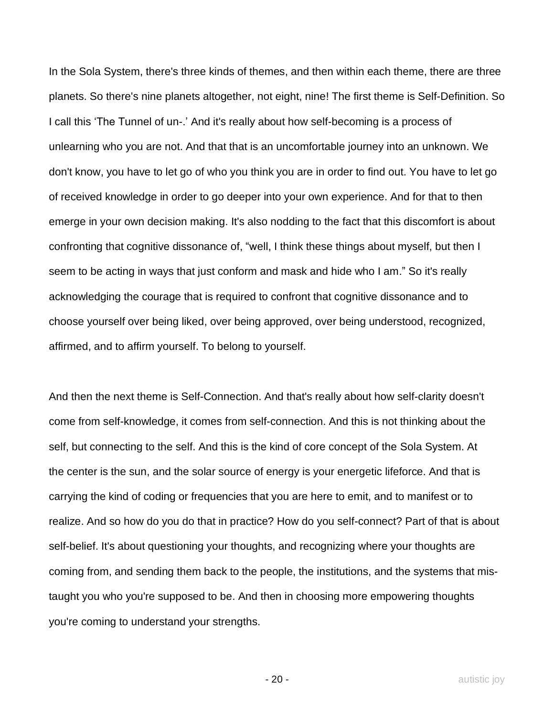In the Sola System, there's three kinds of themes, and then within each theme, there are three planets. So there's nine planets altogether, not eight, nine! The first theme is Self-Definition. So I call this 'The Tunnel of un-.' And it's really about how self-becoming is a process of unlearning who you are not. And that that is an uncomfortable journey into an unknown. We don't know, you have to let go of who you think you are in order to find out. You have to let go of received knowledge in order to go deeper into your own experience. And for that to then emerge in your own decision making. It's also nodding to the fact that this discomfort is about confronting that cognitive dissonance of, "well, I think these things about myself, but then I seem to be acting in ways that just conform and mask and hide who I am." So it's really acknowledging the courage that is required to confront that cognitive dissonance and to choose yourself over being liked, over being approved, over being understood, recognized, affirmed, and to affirm yourself. To belong to yourself.

And then the next theme is Self-Connection. And that's really about how self-clarity doesn't come from self-knowledge, it comes from self-connection. And this is not thinking about the self, but connecting to the self. And this is the kind of core concept of the Sola System. At the center is the sun, and the solar source of energy is your energetic lifeforce. And that is carrying the kind of coding or frequencies that you are here to emit, and to manifest or to realize. And so how do you do that in practice? How do you self-connect? Part of that is about self-belief. It's about questioning your thoughts, and recognizing where your thoughts are coming from, and sending them back to the people, the institutions, and the systems that mistaught you who you're supposed to be. And then in choosing more empowering thoughts you're coming to understand your strengths.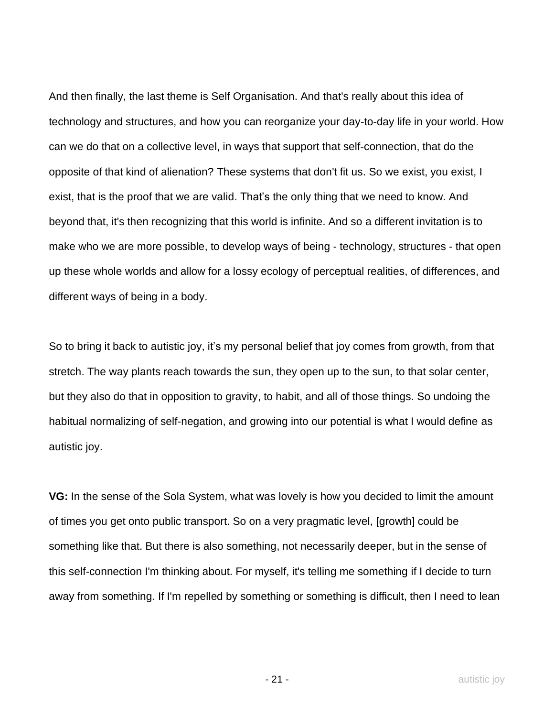And then finally, the last theme is Self Organisation. And that's really about this idea of technology and structures, and how you can reorganize your day-to-day life in your world. How can we do that on a collective level, in ways that support that self-connection, that do the opposite of that kind of alienation? These systems that don't fit us. So we exist, you exist, I exist, that is the proof that we are valid. That's the only thing that we need to know. And beyond that, it's then recognizing that this world is infinite. And so a different invitation is to make who we are more possible, to develop ways of being - technology, structures - that open up these whole worlds and allow for a lossy ecology of perceptual realities, of differences, and different ways of being in a body.

So to bring it back to autistic joy, it's my personal belief that joy comes from growth, from that stretch. The way plants reach towards the sun, they open up to the sun, to that solar center, but they also do that in opposition to gravity, to habit, and all of those things. So undoing the habitual normalizing of self-negation, and growing into our potential is what I would define as autistic joy.

**VG:** In the sense of the Sola System, what was lovely is how you decided to limit the amount of times you get onto public transport. So on a very pragmatic level, [growth] could be something like that. But there is also something, not necessarily deeper, but in the sense of this self-connection I'm thinking about. For myself, it's telling me something if I decide to turn away from something. If I'm repelled by something or something is difficult, then I need to lean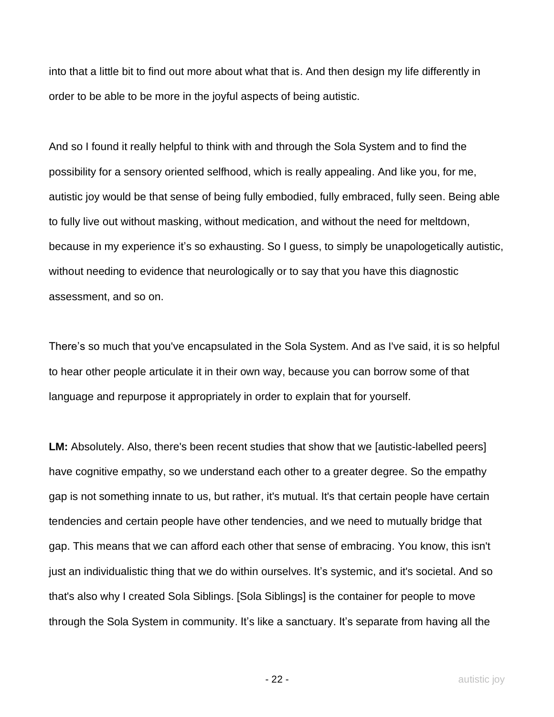into that a little bit to find out more about what that is. And then design my life differently in order to be able to be more in the joyful aspects of being autistic.

And so I found it really helpful to think with and through the Sola System and to find the possibility for a sensory oriented selfhood, which is really appealing. And like you, for me, autistic joy would be that sense of being fully embodied, fully embraced, fully seen. Being able to fully live out without masking, without medication, and without the need for meltdown, because in my experience it's so exhausting. So I guess, to simply be unapologetically autistic, without needing to evidence that neurologically or to say that you have this diagnostic assessment, and so on.

There's so much that you've encapsulated in the Sola System. And as I've said, it is so helpful to hear other people articulate it in their own way, because you can borrow some of that language and repurpose it appropriately in order to explain that for yourself.

**LM:** Absolutely. Also, there's been recent studies that show that we [autistic-labelled peers] have cognitive empathy, so we understand each other to a greater degree. So the empathy gap is not something innate to us, but rather, it's mutual. It's that certain people have certain tendencies and certain people have other tendencies, and we need to mutually bridge that gap. This means that we can afford each other that sense of embracing. You know, this isn't just an individualistic thing that we do within ourselves. It's systemic, and it's societal. And so that's also why I created Sola Siblings. [Sola Siblings] is the container for people to move through the Sola System in community. It's like a sanctuary. It's separate from having all the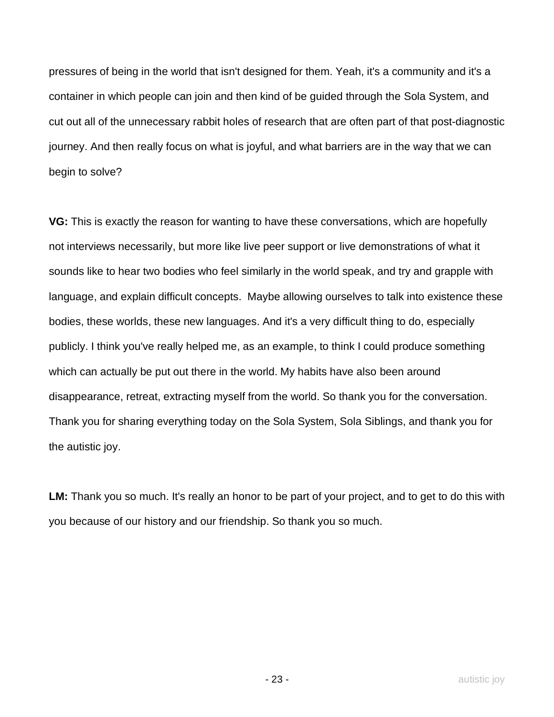pressures of being in the world that isn't designed for them. Yeah, it's a community and it's a container in which people can join and then kind of be guided through the Sola System, and cut out all of the unnecessary rabbit holes of research that are often part of that post-diagnostic journey. And then really focus on what is joyful, and what barriers are in the way that we can begin to solve?

**VG:** This is exactly the reason for wanting to have these conversations, which are hopefully not interviews necessarily, but more like live peer support or live demonstrations of what it sounds like to hear two bodies who feel similarly in the world speak, and try and grapple with language, and explain difficult concepts. Maybe allowing ourselves to talk into existence these bodies, these worlds, these new languages. And it's a very difficult thing to do, especially publicly. I think you've really helped me, as an example, to think I could produce something which can actually be put out there in the world. My habits have also been around disappearance, retreat, extracting myself from the world. So thank you for the conversation. Thank you for sharing everything today on the Sola System, Sola Siblings, and thank you for the autistic joy.

**LM:** Thank you so much. It's really an honor to be part of your project, and to get to do this with you because of our history and our friendship. So thank you so much.